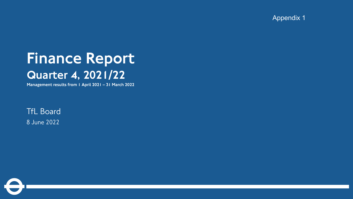Appendix 1

# Finance Report Quarter 4, 2021/22

Management results from 1 April 2021 – 31 March 2022

TfL Board 8 June 2022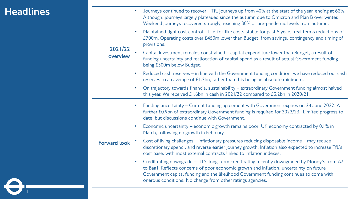### **Headlines**

**Contract** 

| 2021/22<br>overview | Journeys continued to recover - TfL journeys up from 40% at the start of the year, ending at 68%.<br>Although, journeys largely plateaued since the autumn due to Omicron and Plan B over winter.<br>Weekend journeys recovered strongly, reaching 80% of pre-pandemic levels from autumn.<br>Maintained tight cost control - like-for-like costs stable for past 5 years; real terms reductions of<br>$\bullet$<br>£700m. Operating costs over £450m lower than Budget, from savings, contingency and timing of |
|---------------------|------------------------------------------------------------------------------------------------------------------------------------------------------------------------------------------------------------------------------------------------------------------------------------------------------------------------------------------------------------------------------------------------------------------------------------------------------------------------------------------------------------------|
|                     | provisions.<br>Capital investment remains constrained - capital expenditure lower than Budget, a result of<br>funding uncertainty and reallocation of capital spend as a result of actual Government funding<br>being £500m below Budget.                                                                                                                                                                                                                                                                        |
|                     | Reduced cash reserves - in line with the Government funding condition, we have reduced our cash<br>$\bullet$<br>reserves to an average of £1.2bn, rather than this being an absolute minimum.                                                                                                                                                                                                                                                                                                                    |
|                     | On trajectory towards financial sustainability - extraordinary Government funding almost halved<br>$\bullet$<br>this year. We received £1.6bn in cash in 2021/22 compared to £3.2bn in 2020/21.                                                                                                                                                                                                                                                                                                                  |
|                     | Funding uncertainty - Current funding agreement with Government expires on 24 June 2022. A<br>$\bullet$<br>further £0.9bn of extraordinary Government funding is required for 2022/23. Limited progress to<br>date, but discussions continue with Government.                                                                                                                                                                                                                                                    |
|                     | Economic uncertainty – economic growth remains poor; UK economy contracted by 0.1% in<br>$\bullet$<br>March, following no growth in February                                                                                                                                                                                                                                                                                                                                                                     |
| <b>Forward look</b> | Cost of living challenges - inflationary pressures reducing disposable income - may reduce<br>discretionary spend, and reverse earlier journey growth. Inflation also expected to increase TfL's<br>cost base, with most external contracts linked to inflation indexes.                                                                                                                                                                                                                                         |
|                     | Credit rating downgrade - TfL's long-term credit rating recently downgraded by Moody's from A3<br>$\bullet$<br>to Baal. Reflects concerns of poor economic growth and inflation, uncertainty on future<br>Government capital funding and the likelihood Government funding continues to come with<br>onerous conditions. No change from other ratings agencies.                                                                                                                                                  |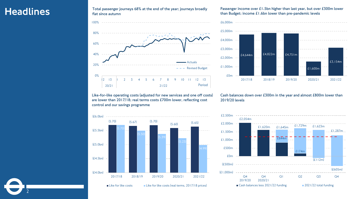#### Headlines

2

**Total passenger journeys 68% at the end of the year; journeys broadly flat since autumn**

100%



**Passenger income over £1.5bn higher than last year, but over £300m lower than Budget; income £1.6bn lower than pre-pandemic levels**



**Like-for-like operating costs (adjusted for new services and one off costs) are lower than 2017/18; real terms costs £700m lower, reflecting cost control and our savings programme**

#### **Cash balances down over £300m in the year and almost £800m lower than 2019/20 levels**







 $\blacksquare$  Like for like costs  $\blacksquare$  Like for like costs (real terms, 2017/18 prices)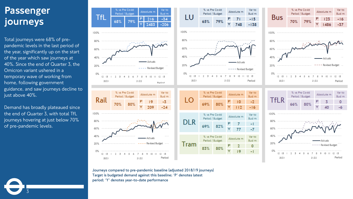### Passenger journeys

Total journeys were 68% of prepandemic levels in the last period of the year, significantly up on the start of the year which saw journeys at 40%. Since the end of Quarter 3, the Omicron variant ushered in a temporary wave of working from home, following government guidance, and saw journeys decline to just above 40%.

Demand has broadly plateaued since the end of Quarter 3, with total TfL journeys hovering at just below 70% of pre-pandemic levels.

3



**Journeys compared to pre-pandemic baseline (adjusted 2018/19 journeys) Target is budgeted demand against this baseline; 'P' denotes latest period; 'Y' denotes year-to-date performance**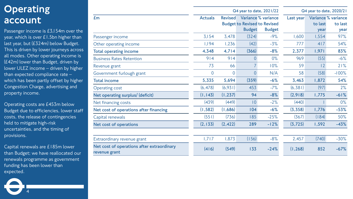#### **Operating** account

Passenger income is £3,154m over the year, which is over £1.5bn higher than last year, but (£324m) below Budget. This is driven by lower journeys across all modes. Other operating income is (£42m) lower than Budget, driven by lower ULEZ income – driven by higher than expected compliance rate – which has been partly offset by higher Congestion Charge, advertising and property income.

Operating costs are £453m below Budget due to efficiencies, lower staff costs, the release of contingencies held to mitigate high-risk uncertainties, and the timing of provisions.

Capital renewals are £185m lower than Budget; we have reallocated our renewals programme as government funding has been lower than expected.

|                                                             |                |                | Q4 year to date, 2021/22                             | Q4 year to date, 2020/21             |           |                 |                                        |
|-------------------------------------------------------------|----------------|----------------|------------------------------------------------------|--------------------------------------|-----------|-----------------|----------------------------------------|
| E <sub>m</sub>                                              | <b>Actuals</b> | <b>Revised</b> | <b>Budget to Revised to Revised</b><br><b>Budget</b> | Variance % variance<br><b>Budget</b> | Last year | to last<br>year | Variance % variance<br>to last<br>year |
| Passenger income                                            | 3,154          | 3,478          | (324)                                                | $-9%$                                | 1,600     | 1,554           | 97%                                    |
| Other operating income                                      | 1,194          | 1,236          | (42)                                                 | $-3%$                                | 777       | 417             | 54%                                    |
| <b>Total operating income</b>                               | 4,348          | 4,714          | (366)                                                | $-8%$                                | 2,377     | 1,971           | 83%                                    |
| <b>Business Rates Retention</b>                             | 914            | 914            | $\overline{0}$                                       | $0\%$                                | 969       | (55)            | $-6%$                                  |
| Revenue grant                                               | 73             | 66             |                                                      | 10%                                  | 59        | 2               | 21%                                    |
| Government furlough grant                                   | $\overline{0}$ | 0              | $\overline{0}$                                       | N/A                                  | 58        | (58)            | $-100%$                                |
| <b>Total income</b>                                         | 5,335          | 5,694          | (359)                                                | $-6%$                                | 3,463     | 1,872           | 54%                                    |
| <b>Operating cost</b>                                       | (6, 478)       | (6,931)        | 453                                                  | $-7%$                                | (6,381)   | (97)            | 2%                                     |
| Net operating surplus/ (deficit)                            | (1, 143)       | (1, 237)       | 94                                                   | $-8%$                                | (2,918)   | 1,775           | $-61%$                                 |
| Net financing costs                                         | (439)          | (449)          | $\overline{0}$                                       | $-2%$                                | (440)     |                 | $0\%$                                  |
| Net cost of operations after financing                      | (1, 582)       | (1,686)        | 104                                                  | $-6%$                                | (3,358)   | 1,776           | $-53%$                                 |
| Capital renewals                                            | (551)          | (736)          | 185                                                  | $-25%$                               | (367)     | (184)           | 50%                                    |
| Net cost of operations                                      | (2, 133)       | (2, 422)       | 289                                                  | $-12%$                               | (3, 725)  | 1,592           | $-43%$                                 |
| Extraordinary revenue grant                                 | 1,717          | 1,873          | (156)                                                | $-8%$                                | 2,457     | (740)           | $-30%$                                 |
| Net cost of operations after extraordinary<br>revenue grant | (416)          | (549)          | 133                                                  | $-24%$                               | (1, 268)  | 852             | $-67%$                                 |
|                                                             |                |                |                                                      |                                      |           |                 |                                        |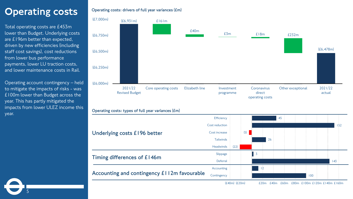## **Operating costs**

Total operating costs are £453m lower than Budget. Underlying costs are £196m better than expected, driven by new efficiencies (including staff cost savings), cost reductions from lower bus performance payments, lower LU traction costs, and lower maintenance costs in Rail.

Operating account contingency – held to mitigate the impacts of risks - was £100m lower than Budget across the year. This has partly mitigated the impacts from lower ULEZ income this year.

5

#### **Operating costs: drivers of full year variances (£m)**

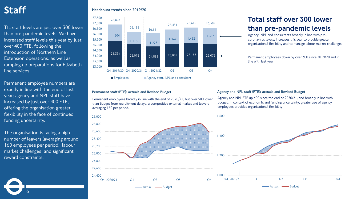TfL staff levels are just over 300 lower than pre-pandemic levels. We have increased staff levels this year by just over 400 FTE, following the introduction of Northern Line Extension operations, as well as ramping up preparations for Elizabeth line services.

Permanent employee numbers are exactly in line with the end of last year; agency and NPL staff have increased by just over 400 FTE, offering the organisation greater flexibility in the face of continued funding uncertainty.

The organisation is facing a high number of leavers (averaging around 160 employees per period), labour market challenges, and significant reward constraints.

6

#### Staff **Headcount trends since 2019/20**



#### **Permanent staff (FTE): actuals and Revised Budget**

Permanent employees broadly in line with the end of 2020/21, but over 500 lower than Budget from recruitment delays, a competitive external market and leavers averaging 160 per period.



#### Total staff over 300 lower than pre-pandemic levels

Agency, NPL and consultants broadly in line with precoronavirus levels; increases this year to provide greater organisational flexibility and to manage labour market challenges

Permanent employees down by over 300 since 2019/20 and in line with last year

#### **Agency and NPL staff (FTE): actuals and Revised Budget**

Agency and NPL FTE up 400 since the end of 2020/21, and broadly in line with Budget. In context of economic and funding uncertainty, greater use of agency employees provides organisational flexibility.

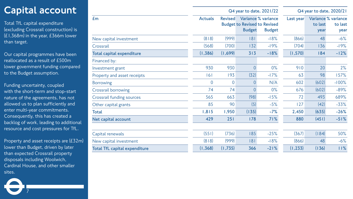### Capital account

Total TfL capital expenditure (excluding Crossrail construction) is (£1,368m) in the year, £366m lower than target.

Our capital programmes have been reallocated as a result of £500m lower government funding compared to the Budget assumption.

Funding uncertainty, coupled with the short-term and stop-start nature of the agreements, has not allowed us to plan sufficiently and enter multi-year commitments. Consequently, this has created a backlog of work, leading to additional resource and cost pressures for TfL.

Property and asset receipts are (£32m) lower than Budget, driven by later than expected Crossrail property disposals including Woolwich, Cardinal House, and other smaller sites.

|                                      |                |                | Q4 year to date, 2021/22 | Q4 year to date, 2020/21                                                    |           |                 |                                        |
|--------------------------------------|----------------|----------------|--------------------------|-----------------------------------------------------------------------------|-----------|-----------------|----------------------------------------|
| Em                                   | <b>Actuals</b> | <b>Revised</b> | <b>Budget</b>            | Variance % variance<br><b>Budget to Revised to Revised</b><br><b>Budget</b> | Last year | to last<br>year | Variance % variance<br>to last<br>year |
| New capital investment               | (818)          | (999)          | 181                      | $-18%$                                                                      | (866)     | 48              | $-6%$                                  |
| Crossrail                            | (568)          | (700)          | 132                      | $-19%$                                                                      | (704)     | 136             | $-19%$                                 |
| <b>Total capital expenditure</b>     | (1, 386)       | (1,699)        | 313                      | $-18%$                                                                      | (1,570)   | 184             | $-12%$                                 |
| Financed by:                         |                |                |                          |                                                                             |           |                 |                                        |
| Investment grant                     | 930            | 930            | $\overline{0}$           | $0\%$                                                                       | 910       | 20              | 2%                                     |
| Property and asset receipts          | 161            | 193            | (32)                     | $-17%$                                                                      | 63        | 98              | 157%                                   |
| <b>Borrowing</b>                     | $\overline{0}$ | $\overline{0}$ | $\overline{0}$           | N/A                                                                         | 602       | (602)           | $-100%$                                |
| Crossrail borrowing                  | 74             | 74             | $\overline{0}$           | $0\%$                                                                       | 676       | (602)           | $-89%$                                 |
| Crossrail funding sources            | 565            | 663            | (98)                     | $-15%$                                                                      | 72        | 493             | 689%                                   |
| Other capital grants                 | 85             | 90             | (5)                      | $-5%$                                                                       | 127       | (42)            | $-33%$                                 |
| <b>Total</b>                         | 1,815          | 1,950          | (135)                    | $-7%$                                                                       | 2,450     | (635)           | $-26%$                                 |
| Net capital account                  | 429            | 251            | 178                      | 71%                                                                         | 880       | (451)           | $-51%$                                 |
| Capital renewals                     | (551)          | (736)          | 185                      | $-25%$                                                                      | (367)     | (184)           | 50%                                    |
| New capital investment               | (818)          | (999)          | 181                      | $-18%$                                                                      | (866)     | 48              | $-6%$                                  |
| <b>Total TfL capital expenditure</b> | (1,368)        | (1,735)        | 366                      | $-21%$                                                                      | (1, 233)  | (136)           | 11%                                    |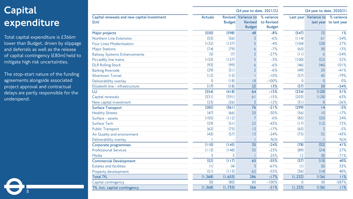## Capital expenditure

Total capital expenditure is £366m lower than Budget, driven by slippage and deferrals as well as the release of capital contingency (£80m) held to mitigate high risk uncertainties.

The stop -start nature of the funding agreements alongside associated project approval and contractual delays are partly responsible for the underspend.

|                                                     |                |               | Q4 year to date, 2021/22                                      |                                           | Q4 year to date, 2020/21 |                       |                                      |
|-----------------------------------------------------|----------------|---------------|---------------------------------------------------------------|-------------------------------------------|--------------------------|-----------------------|--------------------------------------|
| Capital renewals and new capital investment<br>(Em) | <b>Actuals</b> | <b>Budget</b> | <b>Revised Variance to</b><br><b>Revised</b><br><b>Budget</b> | % variance<br>to Revised<br><b>Budget</b> |                          | Last year Variance to | % variance<br>last year to last year |
| Major projects                                      | (550)          | (598)         | 48                                                            | $-8%$                                     | (547)                    | (3)                   | 1%                                   |
| Northern Line Extension                             | (53)           | (56)          | $\overline{3}$                                                | $-6%$                                     | (114)                    | 61                    | $-54%$                               |
| <b>Four Lines Modernisation</b>                     | (132)          | (137)         | 5                                                             | $-4%$                                     | (104)                    | (28)                  | 27%                                  |
| <b>Major Stations</b>                               | (74)           | (79)          | 6                                                             | $-7%$                                     | (65)                     | (8)                   | 13%                                  |
| Railway Systems Enhancements                        | (5)            | (7)           | $\overline{2}$                                                | $-27%$                                    | (11)                     | 6                     | $-54%$                               |
| Piccadilly line trains                              | (153)          | (157)         | 5                                                             | $-3%$                                     | (100)                    | (52)                  | 52%                                  |
| <b>DLR Rolling Stock</b>                            | (93)           | (99)          | 6                                                             | $-6%$                                     | (46)                     | (46)                  | 101%                                 |
| <b>Barking Riverside</b>                            | (29)           | (31)          | $\overline{2}$                                                | $-6%$                                     | (49)                     | 20                    | $-41%$                               |
| <b>Silvertown Tunnel</b>                            | (12)           | (13)          |                                                               | $-10%$                                    | (57)                     | 45                    | $-79%$                               |
| Deliverability overlay                              | $\overline{0}$ | (18)          | 18                                                            | $-100%$                                   | $\mathbf 0$              | $\overline{0}$        | $0\%$                                |
| Elizabeth line - infrastructure                     | (17)           | (15)          | (2)                                                           | 13%                                       | (37)                     | 20                    | $-54%$                               |
| LU                                                  | (354)          | (418)         | 64                                                            | $-15%$                                    | (234)                    | (120)                 | 51%                                  |
| Capital renewals                                    | (331)          | (391)         | 61                                                            | $-15%$                                    | (203)                    | (128)                 | 63%                                  |
| New capital investment                              | (23)           | (26)          | $\overline{3}$                                                | $-12%$                                    | (31)                     | 8                     | $-26%$                               |
| <b>Surface Transport</b>                            | (285)          | (361)         | 76                                                            | $-21%$                                    | (299)                    | 4                     | $-5%$                                |
| <b>Healthy Streets</b>                              | (47)           | (66)          | 20                                                            | $-30%$                                    | (56)                     | 10                    | $-17%$                               |
| Surface - assets                                    | (105)          | (112)         | $\overline{7}$                                                | $-6%$                                     | (85)                     | (20)                  | 24%                                  |
| <b>Surface Tech</b>                                 | (29)           | (51)          | 22                                                            | $-43%$                                    | (17)                     | (12)                  | 72%                                  |
| <b>Public Transport</b>                             | (62)           | (75)          | 13                                                            | $-17%$                                    | (65)                     | $\overline{3}$        | $-5%$                                |
| Air Quality and environment                         | (43)           | (57)          | 13                                                            | $-24%$                                    | (75)                     | 32                    | $-43%$                               |
| Deliverability overlay                              |                |               |                                                               | N/A                                       | $\overline{\phantom{a}}$ |                       | N/A                                  |
| Corporate programmes                                | (110)          | (145)         | 35                                                            | $-24%$                                    | (78)                     | (32)                  | 41%                                  |
| <b>Professional Services</b>                        | (113)          | (148)         | 35                                                            | $-23%$                                    | (89)                     | (24)                  | 27%                                  |
| Media                                               | 3              | 3             |                                                               | 25%                                       | 12                       | (8)                   | $-71%$                               |
| <b>Commercial Development</b>                       | (52)           | (117)         | 65                                                            | $-55%$                                    | (37)                     | (15)                  | 40%                                  |
| <b>Estates and facilities</b>                       | (1)            | (4)           | $\overline{3}$                                                | $-67%$                                    | (1)                      | (0)                   | 33%                                  |
| Property development                                | (51)           | (113)         | 62                                                            | $-55%$                                    | (36)                     | (14)                  | 40%                                  |
| <b>Total TfL</b>                                    | (1, 368)       | (1,655)       | 286                                                           | $-17%$                                    | (1, 232)                 | (136)                 | 11%                                  |
| Capital contingency                                 | (0)            | (80)          | 80                                                            | $-100%$                                   | $\overline{0}$           | (0)                   | $-587%$                              |
| TfL incl. capital contingency                       | (1,368)        | (1,735)       | 366                                                           | $-21%$                                    | (1, 233)                 | (136)                 | 11%                                  |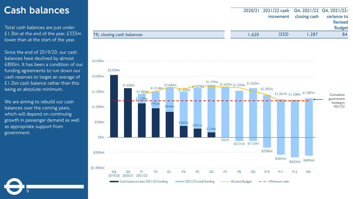#### Cash balances

Total cash balances are just under £1.3bn at the end of the year, £333m lower than at the start of the year.

Since the end of 2019/20, our cash balances have declined by almost £800m. It has been a condition of our funding agreements to run down our cash reserves to target an average of £1.2bn cash balance rather than this being an absolute minimum.

We are aiming to rebuild our cash balances over the coming years, which will depend on continuing growth in passenger demand as well as appropriate support from government.

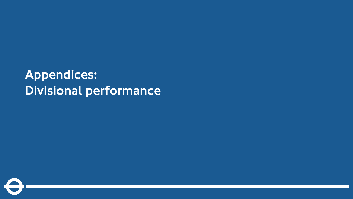# Appendices: Divisional performance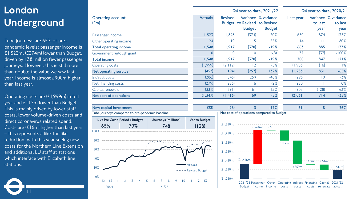## London Underground

Tube journeys are 65% of prepandemic levels; passenger income is £1,523m, (£374m) lower than Budget, driven by 138 million fewer passenger journeys. However, this is still more than double the value we saw last year. Income is almost £900m higher than last year.

Operating costs are (£1,999m) in full year and £112m lower than Budget. This is mainly driven by lower staff costs, lower volume-driven costs and direct coronavirus related spend. Costs are (£16m) higher than last year – this represents a like-for-like reduction, with this year seeing new costs for the Northern Line Extension and additional LU staff at stations which interface with Elizabeth line stations.

11

|                                  |                |                | Q4 year to date, 2021/22                      | Q4 year to date, 2020/21             |           |                             |                               |
|----------------------------------|----------------|----------------|-----------------------------------------------|--------------------------------------|-----------|-----------------------------|-------------------------------|
| <b>Operating account</b><br>E(m) | <b>Actuals</b> | <b>Revised</b> | Budget to Revised to Revised<br><b>Budget</b> | Variance % variance<br><b>Budget</b> | Last year | Variance<br>to last<br>year | % variance<br>to last<br>year |
| Passenger income                 | ,523           | ,898           | (374)                                         | $-20%$                               | 650       | 874                         | 135%                          |
| Other operating income           | 24             | 9              | 5                                             | 25%                                  | $\vert 4$ | $\perp$                     | 80%                           |
| <b>Total operating income</b>    | 1,548          | 1,917          | (370)                                         | $-19%$                               | 663       | 885                         | 133%                          |
| Government furlough grant        | 0              | 0              | $\Omega$                                      | N/A                                  | 37        | (37)                        | $-100%$                       |
| <b>Total income</b>              | 1,548          | 1,917          | (370)                                         | $-19%$                               | 700       | 847                         | 121%                          |
| <b>Operating costs</b>           | (1, 999)       | (2, 112)       | 112                                           | $-5%$                                | (1, 983)  | (16)                        | $1\%$                         |
| Net operating surplus            | (452)          | (194)          | (257)                                         | 132%                                 | (1, 283)  | 831                         | $-65%$                        |
| Indirect costs                   | (286)          | (545)          | 259                                           | $-48%$                               | (296)     | 10                          | $-3%$                         |
| Net financing costs              | (279)          | (285)          | 6                                             | $-2%$                                | (280)     |                             | $0\%$                         |
| Capital renewals                 | (331)          | (391)          | 61                                            | $-15%$                               | (203)     | (128)                       | 63%                           |
| Net cost of operations           | (1, 347)       | (1,416)        | 69                                            | $-5%$                                | (2,061)   | 714                         | $-35%$                        |







2021/22 Passenger Budget income Other Operating Indirect Financing income costs costs costs Capital renewals 2021/22 actual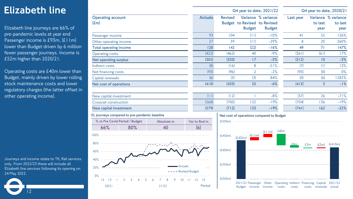### Elizabeth line

Elizabeth line journeys are 66% of pre-pandemic levels at year end Passenger income is £93m, (£11m) lower than Budget driven by 6 million fewer passenger journeys. Income is £52m higher than 2020/21.

Operating costs are £40m lower than Budget, mainly driven by lower rolling stock maintenance costs and lower regulatory charges (the latter offset in other operating income).

Journeys and income relate to TfL Rail services only. From 2022/23 these will include all Elizabeth line services following its opening on 24 May 2022.

|                                               |                          |                |                | Q4 year to date, 2020/21 |                                                                      |                |                 |                                        |
|-----------------------------------------------|--------------------------|----------------|----------------|--------------------------|----------------------------------------------------------------------|----------------|-----------------|----------------------------------------|
|                                               | Q4 year to date, 2021/22 |                |                |                          |                                                                      |                |                 |                                        |
| <b>Operating account</b><br>$(\text{Em})$     |                          | <b>Actuals</b> | <b>Revised</b> | <b>Budget</b>            | Variance % variance<br>Budget to Revised to Revised<br><b>Budget</b> | Last year      | to last<br>year | Variance % variance<br>to last<br>year |
| Passenger income                              |                          | 93             | 104            | (11)                     | $-10%$                                                               | 4 <sub>1</sub> | 52              | 126%                                   |
| Other operating income                        |                          | 27             | 39             | (11)                     | $-29%$                                                               | 8              | 20              | 260%                                   |
| <b>Total operating income</b>                 |                          | 120            | 142            | (22)                     | $-16%$                                                               | 49             | 71              | 147%                                   |
| <b>Operating costs</b>                        |                          | (422)          | (462)          | 40                       | $-9%$                                                                | (361)          | (61)            | 17%                                    |
| Net operating surplus                         |                          | (302)          | (320)          | 17                       | $-5%$                                                                | (312)          | 10              | $-3%$                                  |
| Indirect costs                                |                          | (8)            | (16)           | 8                        | $-51%$                                                               | (7)            | (1)             | 13%                                    |
| Net financing costs                           |                          | (93)           | (96)           | 2                        | $-2%$                                                                | (93)           | (0)             | 0%                                     |
| Capital renewals                              |                          | (6)            | (3)            | (3)                      | 84%                                                                  | (0)            | (6)             | 1282%                                  |
| Net cost of operations                        |                          | (410)          | (435)          | 25                       | $-6%$                                                                | (413)          | 3               | $-1%$                                  |
| New capital investment                        |                          | (11)           | (12)           |                          | $-8%$                                                                | (37)           | 26              | $-71%$                                 |
| Crossrail construction                        |                          | (568)          | (700)          | 132                      | $-19%$                                                               | (704)          | 136             | $-19%$                                 |
| New capital investment                        |                          | (579)          | (712)          | 133                      | $-19%$                                                               | (741)          | 162             | $-22%$                                 |
| EL journeys compared to pre-pandemic baseline |                          |                |                |                          | Net cost of operations compared to Budget                            |                |                 |                                        |
| % vs Pre Covid Period / Budget                | Absolute m               | Var to Bud m   | (E500m)        |                          |                                                                      |                |                 |                                        |
| 80%<br>66%                                    | 40                       | (6)            |                |                          | $(f \mid m)$ $f40m$                                                  |                |                 |                                        |



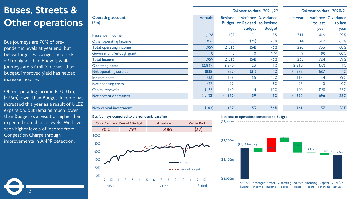## Buses, Streets & Other operations

Bus journeys are 70% of prepandemic levels at year end, but below target. Passenger income is £21m higher than Budget; while journeys are 37 million lower than Budget, improved yield has helped increase income.

Other operating income is £831m, (£75m) lower than Budget. Income has increased this year as a result of ULEZ expansion, but remains much lower than Budget as a result of higher than expected compliance levels. We have seen higher levels of income from Congestion Charge through improvements in ANPR detection.

|                                  |                                                |            |                | Q4 year to date, 2021/22 |                  |                                                                      |           |                 | Q4 year to date, 2020/21               |
|----------------------------------|------------------------------------------------|------------|----------------|--------------------------|------------------|----------------------------------------------------------------------|-----------|-----------------|----------------------------------------|
| <b>Operating account</b><br>E(m) |                                                |            | <b>Actuals</b> | <b>Revised</b>           | <b>Budget</b>    | Variance % variance<br>Budget to Revised to Revised<br><b>Budget</b> | Last year | to last<br>year | Variance % variance<br>to last<br>year |
| Passenger income                 |                                                |            | 1,128          | 1,107                    | 21               | 2%                                                                   | 711       | 416             | 59%                                    |
| Other operating income           |                                                |            | 831            | 906                      | (75)             | $-8%$                                                                | 514       | 317             | 62%                                    |
| <b>Total operating income</b>    |                                                |            | 1,959          | 2,013                    | (54)             | $-3%$                                                                | 1,226     | 733             | 60%                                    |
| Government furlough grant        |                                                |            | $\overline{0}$ | $\overline{0}$           | $\overline{0}$   | N/A                                                                  | 9         | (9)             | $-100%$                                |
| <b>Total income</b>              |                                                |            | 1,959          | 2,013                    | (54)             | $-3%$                                                                | 1,235     | 724             | 59%                                    |
| <b>Operating costs</b>           |                                                |            | (2,847)        | (2,870)                  | 23               | $-1\%$                                                               | (2, 810)  | (37)            | $1\%$                                  |
| Net operating surplus            |                                                |            | (888)          | (857)                    | (31)             | 4%                                                                   | (1, 575)  | 687             | $-44%$                                 |
| Indirect costs                   |                                                |            | (83)           | (138)                    | 55               | $-40%$                                                               | (117)     | 34              | $-29%$                                 |
| Net financing costs              |                                                |            | (27)           | (27)                     |                  | $-2%$                                                                | (27)      | $\overline{0}$  | $0\%$                                  |
| Capital renewals                 |                                                |            | (125)          | (140)                    | 4                | $-10%$                                                               | (100)     | (25)            | 25%                                    |
| Net cost of operations           |                                                |            | (1, 123)       | (1, 162)                 | 39               | $-3%$                                                                | (1,820)   | 696             | $-38%$                                 |
| New capital investment           |                                                |            | (104)          | (157)                    | 53               | $-34%$                                                               | (141)     | 37              | $-26%$                                 |
|                                  | Bus journeys compared to pre-pandemic baseline |            |                |                          |                  | Net cost of operations compared to Budget                            |           |                 |                                        |
|                                  | % vs Pre Covid Period / Budget                 | Absolute m | Var to Bud m   | (E1,300m)                |                  |                                                                      |           |                 |                                        |
| 70%                              | 79%                                            | 1,486      | (37)           |                          |                  |                                                                      |           |                 |                                        |
| 100%<br>80%<br>60%               |                                                |            |                | (E1.200m)                | $(E1,162m)$ £21m | :75n                                                                 |           | E/m             | $£14m$ (£1,123m)                       |



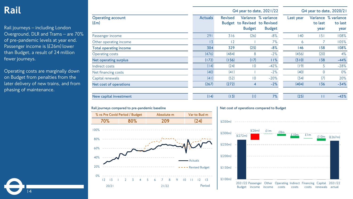#### Rail

Rail journeys – including London Overground, DLR and Trams – are 70% of pre-pandemic levels at year end. Passenger income is (£26m) lower than Budget, a result of 24 million fewer journeys.

Operating costs are marginally down on Budget from penalties from the later delivery of new trains, and from phasing of maintenance.

14

|                                           |                |                | Q4 year to date, 2021/22 | Q4 year to date, 2020/21                                             |           |                 |                                        |
|-------------------------------------------|----------------|----------------|--------------------------|----------------------------------------------------------------------|-----------|-----------------|----------------------------------------|
| <b>Operating account</b><br>$(\text{Em})$ | <b>Actuals</b> | <b>Revised</b> | <b>Budget</b>            | Variance % variance<br>Budget to Revised to Revised<br><b>Budget</b> | Last year | to last<br>year | Variance % variance<br>to last<br>year |
| Passenger income                          | 291            | 316            | (26)                     | $-8%$                                                                | 140       | 5               | 108%                                   |
| Other operating income                    | 13             | 12             |                          | 7%                                                                   | 6         |                 | 105%                                   |
| <b>Total operating income</b>             | 304            | 329            | (25)                     | $-8%$                                                                | 146       | 158             | 108%                                   |
| <b>Operating costs</b>                    | (476)          | (484)          | 8                        | $-2%$                                                                | (456)     | (20)            | 4%                                     |
| <b>Net operating surplus</b>              | (172)          | (156)          | (17)                     | 11%                                                                  | (310)     | 138             | $-44%$                                 |
| Indirect costs                            | (14)           | (24)           | 10                       | $-42%$                                                               | (19)      | 5               | $-28%$                                 |
| Net financing costs                       | (40)           | (41)           |                          | $-2%$                                                                | (40)      | $\overline{0}$  | $0\%$                                  |
| Capital renewals                          | (41)           | (52)           | $\overline{0}$           | $-20%$                                                               | (34)      | (7)             | 20%                                    |
| Net cost of operations                    | (267)          | (272)          | 4                        | $-2%$                                                                | (404)     | 136             | $-34%$                                 |
| New capital investment                    | (14)           | (13)           | (1)                      | 7%                                                                   | (25)      | ш               | $-43%$                                 |







2021/22 Passenger Other Operating Indirect Financing Capital Budget income income costs costs costs renewals 2021/22 actual